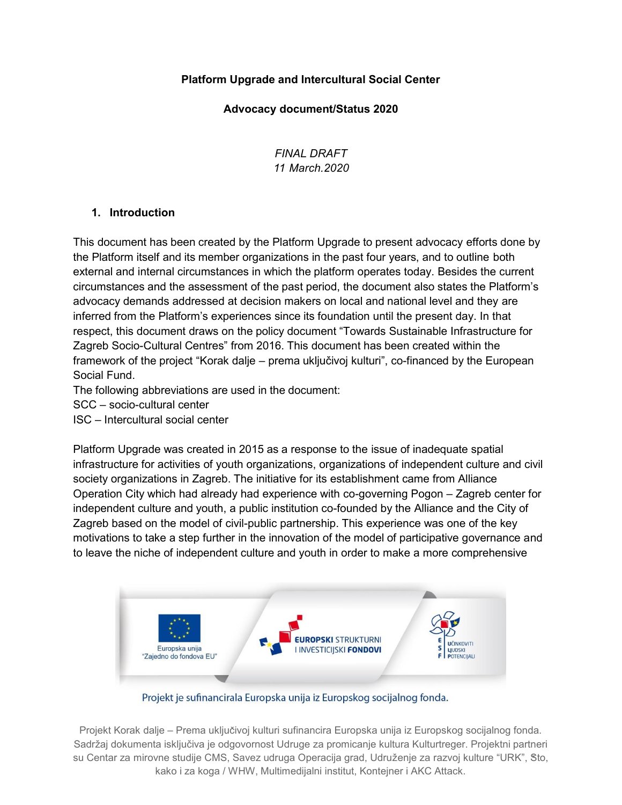### **Platform Upgrade and Intercultural Social Center**

#### **Advocacy document/Status 2020**

*FINAL DRAFT 11 March.2020*

#### **1. Introduction**

This document has been created by the Platform Upgrade to present advocacy efforts done by the Platform itself and its member organizations in the past four years, and to outline both external and internal circumstances in which the platform operates today. Besides the current circumstances and the assessment of the past period, the document also states the Platform's advocacy demands addressed at decision makers on local and national level and they are inferred from the Platform's experiences since its foundation until the present day. In that respect, this document draws on the policy document "Towards Sustainable Infrastructure for Zagreb Socio-Cultural Centres" from 2016. This document has been created within the framework of the project "Korak dalje – prema uključivoj kulturi", co-financed by the European Social Fund.

The following abbreviations are used in the document:

SCC – socio-cultural center

ISC – Intercultural social center

Platform Upgrade was created in 2015 as a response to the issue of inadequate spatial infrastructure for activities of youth organizations, organizations of independent culture and civil society organizations in Zagreb. The initiative for its establishment came from Alliance Operation City which had already had experience with co-governing Pogon – Zagreb center for independent culture and youth, a public institution co-founded by the Alliance and the City of Zagreb based on the model of civil-public partnership. This experience was one of the key motivations to take a step further in the innovation of the model of participative governance and to leave the niche of independent culture and youth in order to make a more comprehensive



Projekt je sufinancirala Europska unija iz Europskog socijalnog fonda.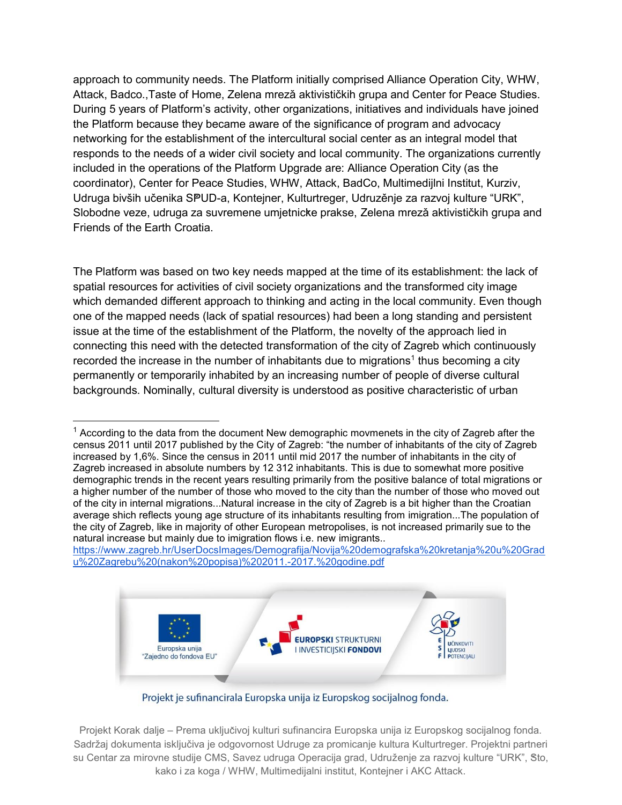approach to community needs. The Platform initially comprised Alliance Operation City, WHW, Attack, Badco.,Taste of Home, Zelena mrezǎ aktivističkih grupa and Center for Peace Studies. During 5 years of Platform's activity, other organizations, initiatives and individuals have joined the Platform because they became aware of the significance of program and advocacy networking for the establishment of the intercultural social center as an integral model that responds to the needs of a wider civil society and local community. The organizations currently included in the operations of the Platform Upgrade are: Alliance Operation City (as the coordinator), Center for Peace Studies, WHW, Attack, BadCo, Multimedijlni Institut, Kurziv, Udruga bivših učenika SP̌UD-a, Kontejner, Kulturtreger, Udruzěnje za razvoj kulture "URK", Slobodne veze, udruga za suvremene umjetnicke prakse, Zelena mreză aktivističkih grupa and Friends of the Earth Croatia.

The Platform was based on two key needs mapped at the time of its establishment: the lack of spatial resources for activities of civil society organizations and the transformed city image which demanded different approach to thinking and acting in the local community. Even though one of the mapped needs (lack of spatial resources) had been a long standing and persistent issue at the time of the establishment of the Platform, the novelty of the approach lied in connecting this need with the detected transformation of the city of Zagreb which continuously recorded the increase in the number of inhabitants due to migrations<sup>1</sup> thus becoming a city permanently or temporarily inhabited by an increasing number of people of diverse cultural backgrounds. Nominally, cultural diversity is understood as positive characteristic of urban

https://www.zagreb.hr/UserDocsImages/Demografija/Novija%20demografska%20kretanja%20u%20Grad u%20Zagrebu%20(nakon%20popisa)%202011.-2017.%20godine.pdf



Projekt je sufinancirala Europska unija iz Europskog socijalnog fonda.

 $<sup>1</sup>$  According to the data from the document New demographic movmenets in the city of Zagreb after the</sup> census 2011 until 2017 published by the City of Zagreb: "the number of inhabitants of the city of Zagreb increased by 1,6%. Since the census in 2011 until mid 2017 the number of inhabitants in the city of Zagreb increased in absolute numbers by 12 312 inhabitants. This is due to somewhat more positive demographic trends in the recent years resulting primarily from the positive balance of total migrations or a higher number of the number of those who moved to the city than the number of those who moved out of the city in internal migrations...Natural increase in the city of Zagreb is a bit higher than the Croatian average shich reflects young age structure of its inhabitants resulting from imigration...The population of the city of Zagreb, like in majority of other European metropolises, is not increased primarily sue to the natural increase but mainly due to imigration flows i.e. new imigrants..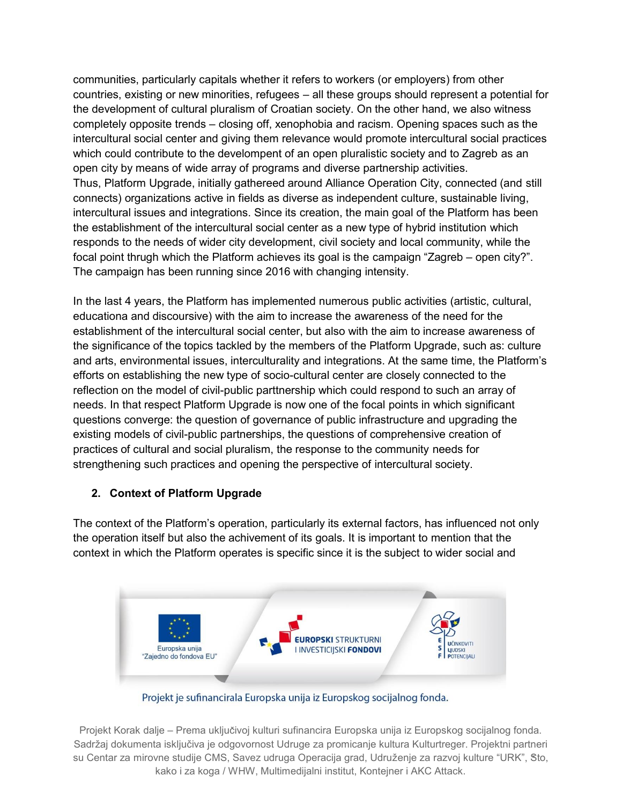communities, particularly capitals whether it refers to workers (or employers) from other countries, existing or new minorities, refugees – all these groups should represent a potential for the development of cultural pluralism of Croatian society. On the other hand, we also witness completely opposite trends – closing off, xenophobia and racism. Opening spaces such as the intercultural social center and giving them relevance would promote intercultural social practices which could contribute to the develompent of an open pluralistic society and to Zagreb as an open city by means of wide array of programs and diverse partnership activities. Thus, Platform Upgrade, initially gathereed around Alliance Operation City, connected (and still connects) organizations active in fields as diverse as independent culture, sustainable living, intercultural issues and integrations. Since its creation, the main goal of the Platform has been the establishment of the intercultural social center as a new type of hybrid institution which responds to the needs of wider city development, civil society and local community, while the focal point thrugh which the Platform achieves its goal is the campaign "Zagreb – open city?". The campaign has been running since 2016 with changing intensity.

In the last 4 years, the Platform has implemented numerous public activities (artistic, cultural, educationa and discoursive) with the aim to increase the awareness of the need for the establishment of the intercultural social center, but also with the aim to increase awareness of the significance of the topics tackled by the members of the Platform Upgrade, such as: culture and arts, environmental issues, interculturality and integrations. At the same time, the Platform's efforts on establishing the new type of socio-cultural center are closely connected to the reflection on the model of civil-public parttnership which could respond to such an array of needs. In that respect Platform Upgrade is now one of the focal points in which significant questions converge: the question of governance of public infrastructure and upgrading the existing models of civil-public partnerships, the questions of comprehensive creation of practices of cultural and social pluralism, the response to the community needs for strengthening such practices and opening the perspective of intercultural society.

### **2. Context of Platform Upgrade**

The context of the Platform's operation, particularly its external factors, has influenced not only the operation itself but also the achivement of its goals. It is important to mention that the context in which the Platform operates is specific since it is the subject to wider social and



Projekt je sufinancirala Europska unija iz Europskog socijalnog fonda.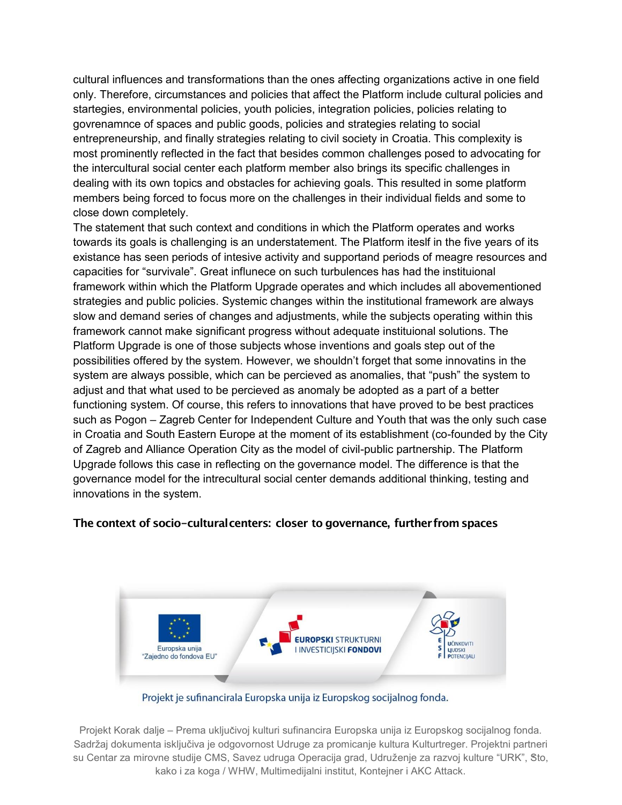cultural influences and transformations than the ones affecting organizations active in one field only. Therefore, circumstances and policies that affect the Platform include cultural policies and startegies, environmental policies, youth policies, integration policies, policies relating to govrenamnce of spaces and public goods, policies and strategies relating to social entrepreneurship, and finally strategies relating to civil society in Croatia. This complexity is most prominently reflected in the fact that besides common challenges posed to advocating for the intercultural social center each platform member also brings its specific challenges in dealing with its own topics and obstacles for achieving goals. This resulted in some platform members being forced to focus more on the challenges in their individual fields and some to close down completely.

The statement that such context and conditions in which the Platform operates and works towards its goals is challenging is an understatement. The Platform iteslf in the five years of its existance has seen periods of intesive activity and supportand periods of meagre resources and capacities for "survivale". Great influnece on such turbulences has had the instituional framework within which the Platform Upgrade operates and which includes all abovementioned strategies and public policies. Systemic changes within the institutional framework are always slow and demand series of changes and adjustments, while the subjects operating within this framework cannot make significant progress without adequate instituional solutions. The Platform Upgrade is one of those subjects whose inventions and goals step out of the possibilities offered by the system. However, we shouldn't forget that some innovatins in the system are always possible, which can be percieved as anomalies, that "push" the system to adjust and that what used to be percieved as anomaly be adopted as a part of a better functioning system. Of course, this refers to innovations that have proved to be best practices such as Pogon – Zagreb Center for Independent Culture and Youth that was the only such case in Croatia and South Eastern Europe at the moment of its establishment (co-founded by the City of Zagreb and Alliance Operation City as the model of civil-public partnership. The Platform Upgrade follows this case in reflecting on the governance model. The difference is that the governance model for the intrecultural social center demands additional thinking, testing and innovations in the system.

#### **The context of socio-culturalcenters: closer to governance, furtherfromspaces**



Projekt je sufinancirala Europska unija iz Europskog socijalnog fonda.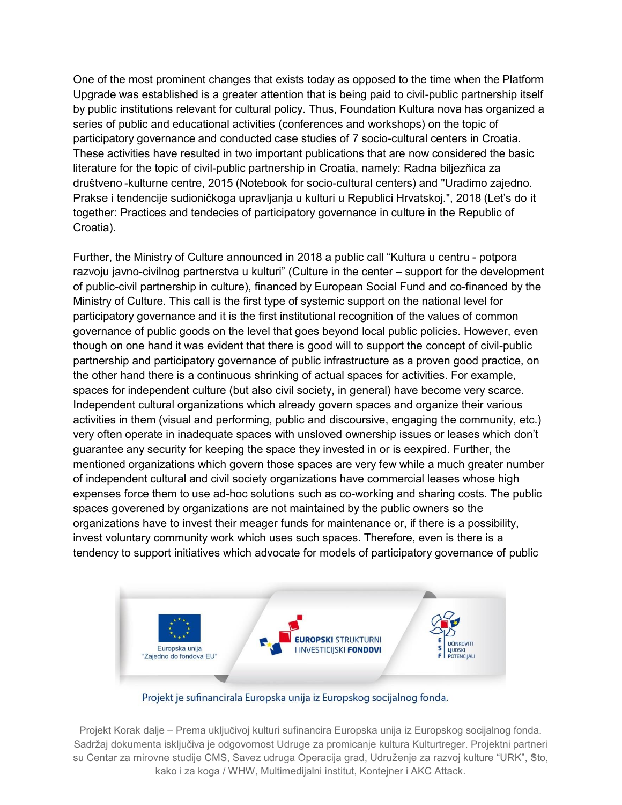One of the most prominent changes that exists today as opposed to the time when the Platform Upgrade was established is a greater attention that is being paid to civil-public partnership itself by public institutions relevant for cultural policy. Thus, Foundation Kultura nova has organized a series of public and educational activities (conferences and workshops) on the topic of participatory governance and conducted case studies of 7 socio-cultural centers in Croatia. These activities have resulted in two important publications that are now considered the basic literature for the topic of civil-public partnership in Croatia, namely: Radna biljezňica za društveno -kulturne centre, 2015 (Notebook for socio-cultural centers) and "Uradimo zajedno. Prakse i tendencije sudioničkoga upravljanja u kulturi u Republici Hrvatskoj.", 2018 (Let's do it together: Practices and tendecies of participatory governance in culture in the Republic of Croatia).

Further, the Ministry of Culture announced in 2018 a public call "Kultura u centru - potpora razvoju javno-civilnog partnerstva u kulturi" (Culture in the center – support for the development of public-civil partnership in culture), financed by European Social Fund and co-financed by the Ministry of Culture. This call is the first type of systemic support on the national level for participatory governance and it is the first institutional recognition of the values of common governance of public goods on the level that goes beyond local public policies. However, even though on one hand it was evident that there is good will to support the concept of civil-public partnership and participatory governance of public infrastructure as a proven good practice, on the other hand there is a continuous shrinking of actual spaces for activities. For example, spaces for independent culture (but also civil society, in general) have become very scarce. Independent cultural organizations which already govern spaces and organize their various activities in them (visual and performing, public and discoursive, engaging the community, etc.) very often operate in inadequate spaces with unsloved ownership issues or leases which don't guarantee any security for keeping the space they invested in or is eexpired. Further, the mentioned organizations which govern those spaces are very few while a much greater number of independent cultural and civil society organizations have commercial leases whose high expenses force them to use ad-hoc solutions such as co-working and sharing costs. The public spaces goverened by organizations are not maintained by the public owners so the organizations have to invest their meager funds for maintenance or, if there is a possibility, invest voluntary community work which uses such spaces. Therefore, even is there is a tendency to support initiatives which advocate for models of participatory governance of public



Projekt je sufinancirala Europska unija iz Europskog socijalnog fonda.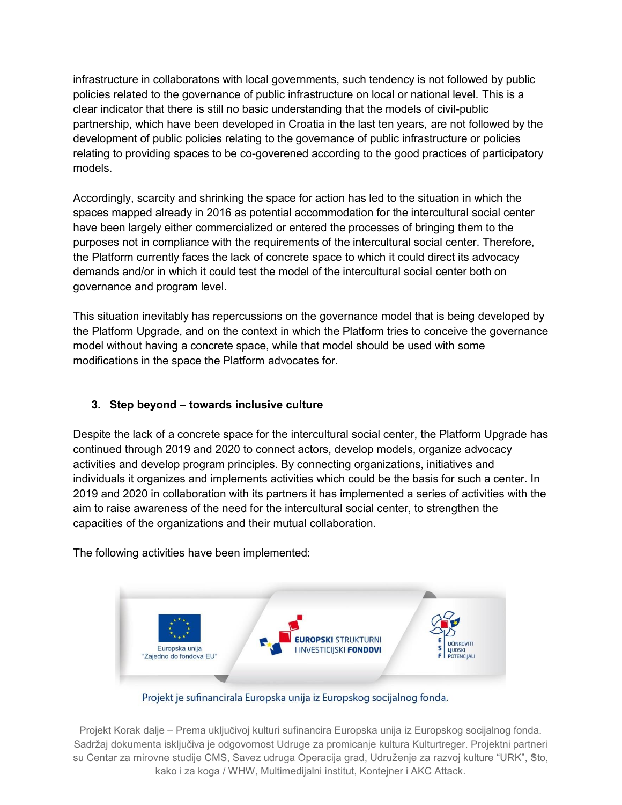infrastructure in collaboratons with local governments, such tendency is not followed by public policies related to the governance of public infrastructure on local or national level. This is a clear indicator that there is still no basic understanding that the models of civil-public partnership, which have been developed in Croatia in the last ten years, are not followed by the development of public policies relating to the governance of public infrastructure or policies relating to providing spaces to be co-goverened according to the good practices of participatory models.

Accordingly, scarcity and shrinking the space for action has led to the situation in which the spaces mapped already in 2016 as potential accommodation for the intercultural social center have been largely either commercialized or entered the processes of bringing them to the purposes not in compliance with the requirements of the intercultural social center. Therefore, the Platform currently faces the lack of concrete space to which it could direct its advocacy demands and/or in which it could test the model of the intercultural social center both on governance and program level.

This situation inevitably has repercussions on the governance model that is being developed by the Platform Upgrade, and on the context in which the Platform tries to conceive the governance model without having a concrete space, while that model should be used with some modifications in the space the Platform advocates for.

### **3. Step beyond – towards inclusive culture**

Despite the lack of a concrete space for the intercultural social center, the Platform Upgrade has continued through 2019 and 2020 to connect actors, develop models, organize advocacy activities and develop program principles. By connecting organizations, initiatives and individuals it organizes and implements activities which could be the basis for such a center. In 2019 and 2020 in collaboration with its partners it has implemented a series of activities with the aim to raise awareness of the need for the intercultural social center, to strengthen the capacities of the organizations and their mutual collaboration.

The following activities have been implemented:



Projekt je sufinancirala Europska unija iz Europskog socijalnog fonda.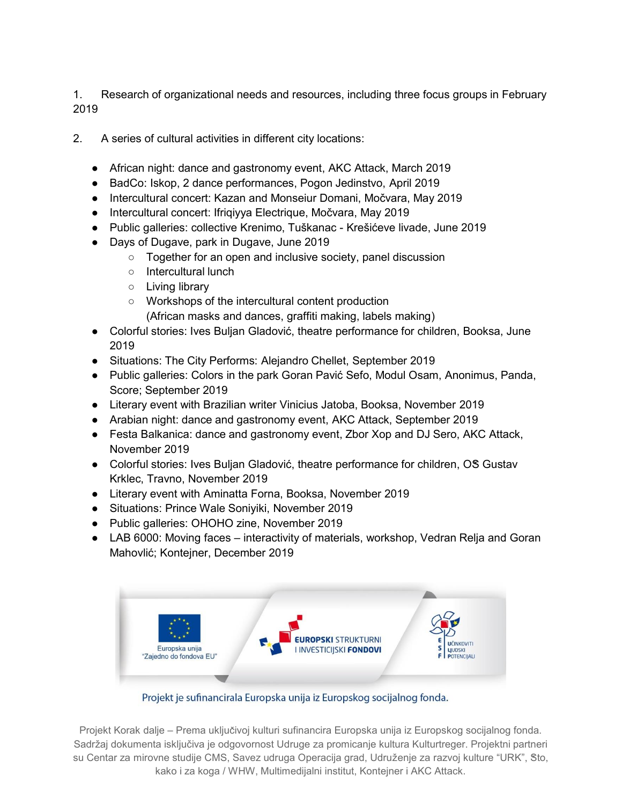1. Research of organizational needs and resources, including three focus groups in February 2019

- 2. A series of cultural activities in different city locations:
	- African night: dance and gastronomy event, AKC Attack, March 2019
	- BadCo: Iskop, 2 dance performances, Pogon Jedinstvo, April 2019
	- Intercultural concert: Kazan and Monseiur Domani, Močvara, May 2019
	- Intercultural concert: Ifriqiyya Electrique, Močvara, May 2019
	- Public galleries: collective Krenimo, Tuškanac Krešićeve livade, June 2019
	- Days of Dugave, park in Dugave, June 2019
		- Together for an open and inclusive society, panel discussion
		- Intercultural lunch
		- Living library
		- Workshops of the intercultural content production (African masks and dances, graffiti making, labels making)
	- Colorful stories: Ives Buljan Gladović, theatre performance for children, Booksa, June 2019
	- Situations: The City Performs: Alejandro Chellet, September 2019
	- Public galleries: Colors in the park Goran Pavić Sefo, Modul Osam, Anonimus, Panda, Score; September 2019
	- Literary event with Brazilian writer Vinicius Jatoba, Booksa, November 2019
	- Arabian night: dance and gastronomy event, AKC Attack, September 2019
	- Festa Balkanica: dance and gastronomy event, Zbor Xop and DJ Sero, AKC Attack, November 2019
	- Colorful stories: Ives Buljan Gladović, theatre performance for children, OS Gustav Krklec, Travno, November 2019
	- Literary event with Aminatta Forna, Booksa, November 2019
	- Situations: Prince Wale Soniyiki, November 2019
	- Public galleries: OHOHO zine, November 2019
	- LAB 6000: Moving faces interactivity of materials, workshop, Vedran Relja and Goran Mahovlić; Kontejner, December 2019



Projekt je sufinancirala Europska unija iz Europskog socijalnog fonda.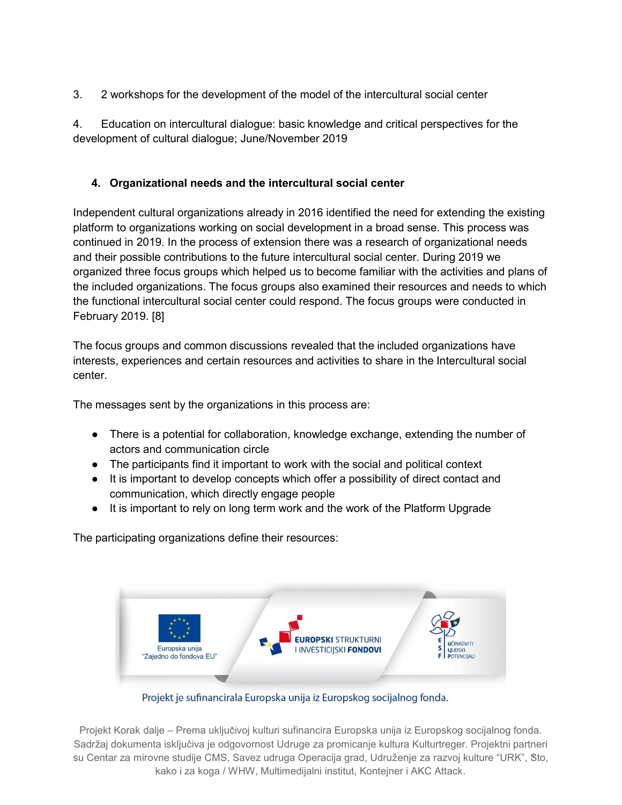3. 2 workshops for the development of the model of the intercultural social center

4. Education on intercultural dialogue: basic knowledge and critical perspectives for the development of cultural dialogue; June/November 2019

# **4. Organizational needs and the intercultural social center**

Independent cultural organizations already in 2016 identified the need for extending the existing platform to organizations working on social development in a broad sense. This process was continued in 2019. In the process of extension there was a research of organizational needs and their possible contributions to the future intercultural social center. During 2019 we organized three focus groups which helped us to become familiar with the activities and plans of the included organizations. The focus groups also examined their resources and needs to which the functional intercultural social center could respond. The focus groups were conducted in February 2019. [8]

The focus groups and common discussions revealed that the included organizations have interests, experiences and certain resources and activities to share in the Intercultural social center.

The messages sent by the organizations in this process are:

- There is a potential for collaboration, knowledge exchange, extending the number of actors and communication circle
- The participants find it important to work with the social and political context
- It is important to develop concepts which offer a possibility of direct contact and communication, which directly engage people
- It is important to rely on long term work and the work of the Platform Upgrade

The participating organizations define their resources:



Projekt je sufinancirala Europska unija iz Europskog socijalnog fonda.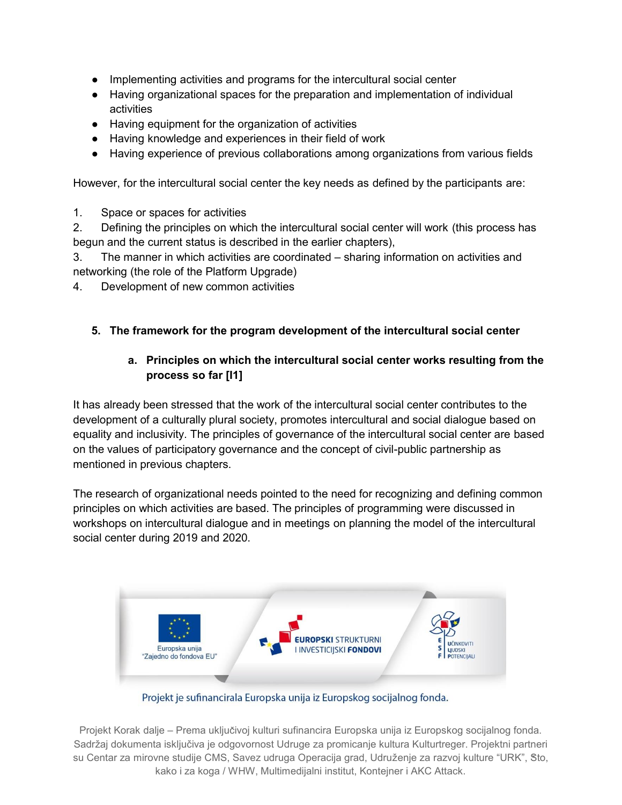- Implementing activities and programs for the intercultural social center
- Having organizational spaces for the preparation and implementation of individual activities
- Having equipment for the organization of activities
- Having knowledge and experiences in their field of work
- Having experience of previous collaborations among organizations from various fields

However, for the intercultural social center the key needs as defined by the participants are:

1. Space or spaces for activities

2. Defining the principles on which the intercultural social center will work (this process has begun and the current status is described in the earlier chapters),

3. The manner in which activities are coordinated – sharing information on activities and networking (the role of the Platform Upgrade)

4. Development of new common activities

### **5. The framework for the program development of the intercultural social center**

### **a. Principles on which the intercultural social center works resulting from the process so far [I1]**

It has already been stressed that the work of the intercultural social center contributes to the development of a culturally plural society, promotes intercultural and social dialogue based on equality and inclusivity. The principles of governance of the intercultural social center are based on the values of participatory governance and the concept of civil-public partnership as mentioned in previous chapters.

The research of organizational needs pointed to the need for recognizing and defining common principles on which activities are based. The principles of programming were discussed in workshops on intercultural dialogue and in meetings on planning the model of the intercultural social center during 2019 and 2020.



Projekt je sufinancirala Europska unija iz Europskog socijalnog fonda.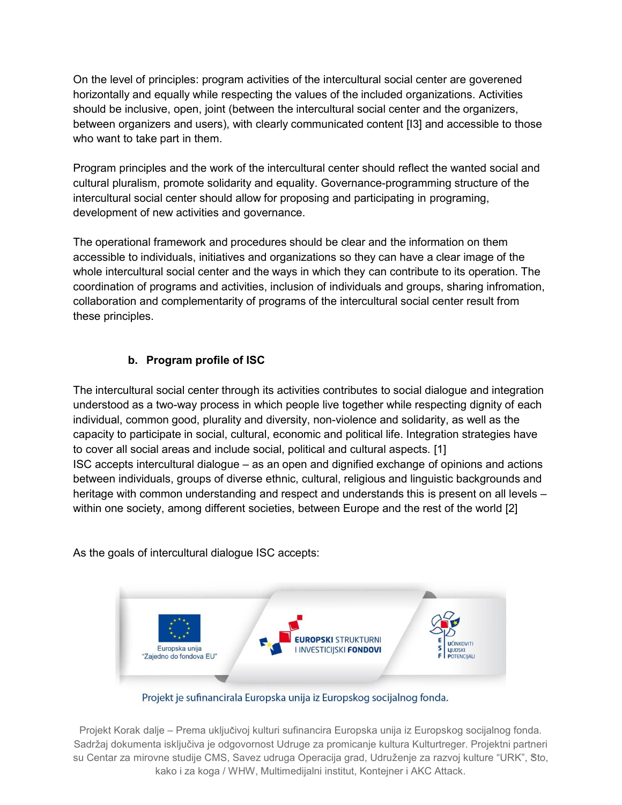On the level of principles: program activities of the intercultural social center are goverened horizontally and equally while respecting the values of the included organizations. Activities should be inclusive, open, joint (between the intercultural social center and the organizers, between organizers and users), with clearly communicated content [I3] and accessible to those who want to take part in them.

Program principles and the work of the intercultural center should reflect the wanted social and cultural pluralism, promote solidarity and equality. Governance-programming structure of the intercultural social center should allow for proposing and participating in programing, development of new activities and governance.

The operational framework and procedures should be clear and the information on them accessible to individuals, initiatives and organizations so they can have a clear image of the whole intercultural social center and the ways in which they can contribute to its operation. The coordination of programs and activities, inclusion of individuals and groups, sharing infromation, collaboration and complementarity of programs of the intercultural social center result from these principles.

### **b. Program profile of ISC**

The intercultural social center through its activities contributes to social dialogue and integration understood as a two-way process in which people live together while respecting dignity of each individual, common good, plurality and diversity, non-violence and solidarity, as well as the capacity to participate in social, cultural, economic and political life. Integration strategies have to cover all social areas and include social, political and cultural aspects*.* [1] ISC accepts intercultural dialogue – as an open and dignified exchange of opinions and actions between individuals, groups of diverse ethnic, cultural, religious and linguistic backgrounds and heritage with common understanding and respect and understands this is present on all levels – within one society, among different societies, between Europe and the rest of the world [2]

As the goals of intercultural dialogue ISC accepts:



Projekt je sufinancirala Europska unija iz Europskog socijalnog fonda.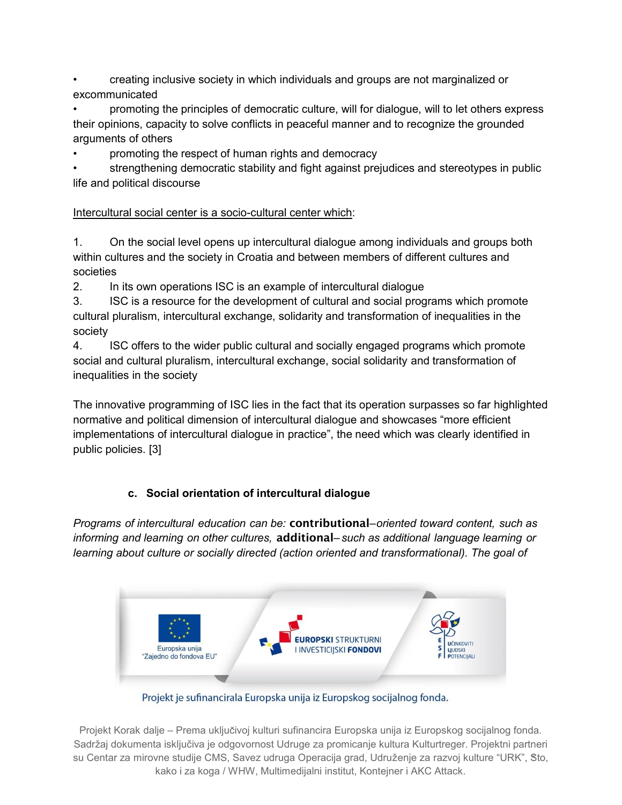• creating inclusive society in which individuals and groups are not marginalized or excommunicated

• promoting the principles of democratic culture, will for dialogue, will to let others express their opinions, capacity to solve conflicts in peaceful manner and to recognize the grounded arguments of others

• promoting the respect of human rights and democracy

• strengthening democratic stability and fight against prejudices and stereotypes in public life and political discourse

# Intercultural social center is a socio-cultural center which:

1. On the social level opens up intercultural dialogue among individuals and groups both within cultures and the society in Croatia and between members of different cultures and societies

2. In its own operations ISC is an example of intercultural dialogue

3. ISC is a resource for the development of cultural and social programs which promote cultural pluralism, intercultural exchange, solidarity and transformation of inequalities in the society

4. ISC offers to the wider public cultural and socially engaged programs which promote social and cultural pluralism, intercultural exchange, social solidarity and transformation of inequalities in the society

The innovative programming of ISC lies in the fact that its operation surpasses so far highlighted normative and political dimension of intercultural dialogue and showcases "more efficient implementations of intercultural dialogue in practice", the need which was clearly identified in public policies. [3]

# **c. Social orientation of intercultural dialogue**

*Programs of intercultural education can be:* **contributional***–oriented toward content, such as informing and learning on other cultures,* **additional***– such as additional language learning or learning about culture or socially directed (action oriented and transformational). The goal of*



Projekt je sufinancirala Europska unija iz Europskog socijalnog fonda.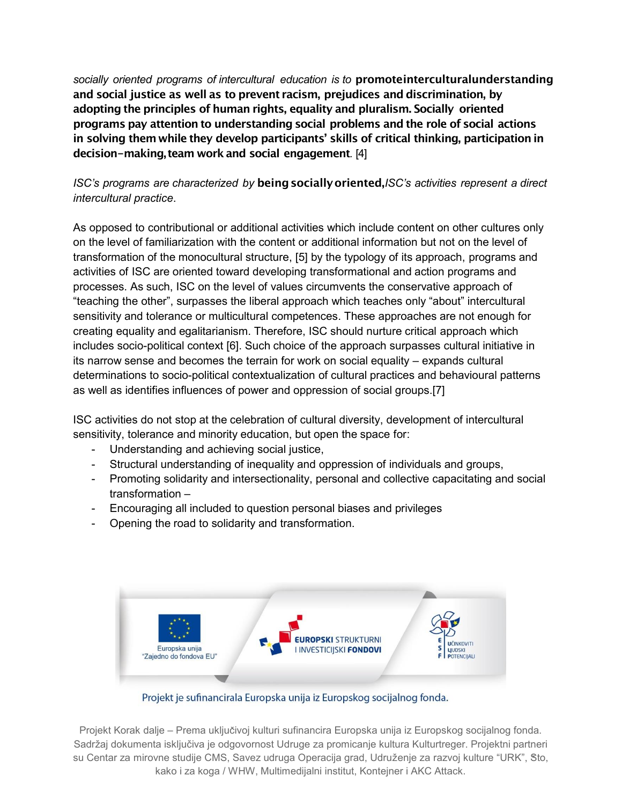*socially oriented programs of intercultural education is to* **promoteinterculturalunderstanding and social justice as well as to prevent racism, prejudices and discrimination, by adopting the principles of human rights, equality and pluralism. Socially oriented programs pay attention to understanding social problems and the role of social actions in solving themwhile they develop participants' skills of critical thinking, participation in decision-making, team workand social engagement***.* [4]

### *ISC's programs are characterized by* **beingsociallyoriented,***ISC's activities represent a direct intercultural practice*.

As opposed to contributional or additional activities which include content on other cultures only on the level of familiarization with the content or additional information but not on the level of transformation of the monocultural structure, [5] by the typology of its approach, programs and activities of ISC are oriented toward developing transformational and action programs and processes. As such, ISC on the level of values circumvents the conservative approach of "teaching the other", surpasses the liberal approach which teaches only "about" intercultural sensitivity and tolerance or multicultural competences. These approaches are not enough for creating equality and egalitarianism. Therefore, ISC should nurture critical approach which includes socio-political context [6]. Such choice of the approach surpasses cultural initiative in its narrow sense and becomes the terrain for work on social equality – expands cultural determinations to socio-political contextualization of cultural practices and behavioural patterns as well as identifies influences of power and oppression of social groups.[7]

ISC activities do not stop at the celebration of cultural diversity, development of intercultural sensitivity, tolerance and minority education, but open the space for:

- Understanding and achieving social justice,
- Structural understanding of inequality and oppression of individuals and groups,
- Promoting solidarity and intersectionality, personal and collective capacitating and social transformation –
- Encouraging all included to question personal biases and privileges
- Opening the road to solidarity and transformation.



Projekt je sufinancirala Europska unija iz Europskog socijalnog fonda.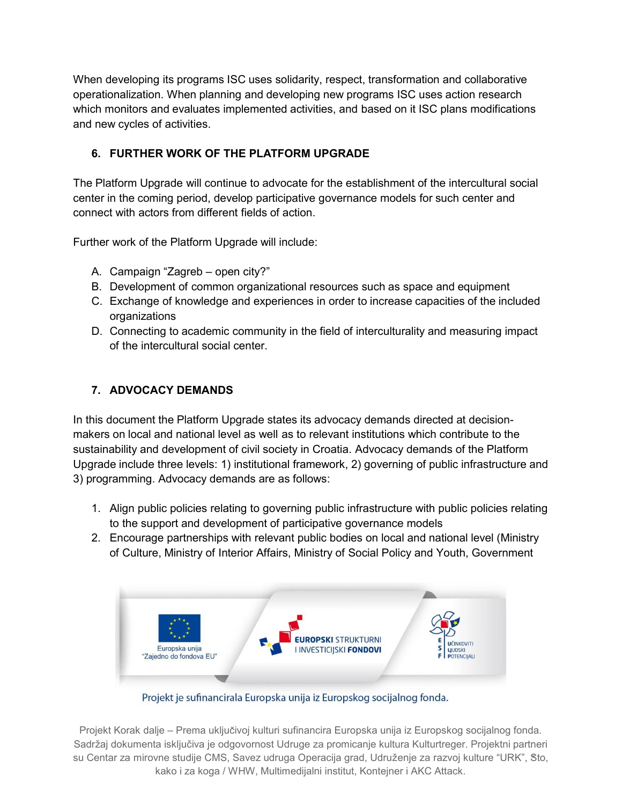When developing its programs ISC uses solidarity, respect, transformation and collaborative operationalization. When planning and developing new programs ISC uses action research which monitors and evaluates implemented activities, and based on it ISC plans modifications and new cycles of activities.

## **6. FURTHER WORK OF THE PLATFORM UPGRADE**

The Platform Upgrade will continue to advocate for the establishment of the intercultural social center in the coming period, develop participative governance models for such center and connect with actors from different fields of action.

Further work of the Platform Upgrade will include:

- A. Campaign "Zagreb open city?"
- B. Development of common organizational resources such as space and equipment
- C. Exchange of knowledge and experiences in order to increase capacities of the included organizations
- D. Connecting to academic community in the field of interculturality and measuring impact of the intercultural social center.

# **7. ADVOCACY DEMANDS**

In this document the Platform Upgrade states its advocacy demands directed at decisionmakers on local and national level as well as to relevant institutions which contribute to the sustainability and development of civil society in Croatia. Advocacy demands of the Platform Upgrade include three levels: 1) institutional framework, 2) governing of public infrastructure and 3) programming. Advocacy demands are as follows:

- 1. Align public policies relating to governing public infrastructure with public policies relating to the support and development of participative governance models
- 2. Encourage partnerships with relevant public bodies on local and national level (Ministry of Culture, Ministry of Interior Affairs, Ministry of Social Policy and Youth, Government



Projekt je sufinancirala Europska unija iz Europskog socijalnog fonda.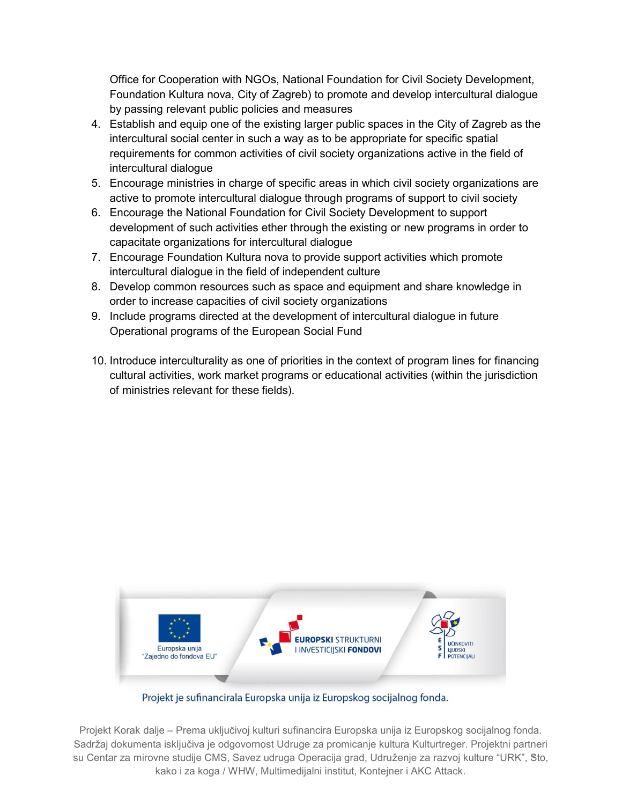Office for Cooperation with NGOs, National Foundation for Civil Society Development, Foundation Kultura nova, City of Zagreb) to promote and develop intercultural dialogue by passing relevant public policies and measures

- 4. Establish and equip one of the existing larger public spaces in the City of Zagreb as the intercultural social center in such a way as to be appropriate for specific spatial requirements for common activities of civil society organizations active in the field of intercultural dialogue
- 5. Encourage ministries in charge of specific areas in which civil society organizations are active to promote intercultural dialogue through programs of support to civil society
- 6. Encourage the National Foundation for Civil Society Development to support development of such activities ether through the existing or new programs in order to capacitate organizations for intercultural dialogue
- 7. Encourage Foundation Kultura nova to provide support activities which promote intercultural dialogue in the field of independent culture
- 8. Develop common resources such as space and equipment and share knowledge in order to increase capacities of civil society organizations
- 9. Include programs directed at the development of intercultural dialogue in future Operational programs of the European Social Fund
- 10. Introduce interculturality as one of priorities in the context of program lines for financing cultural activities, work market programs or educational activities (within the jurisdiction of ministries relevant for these fields).



Projekt je sufinancirala Europska unija iz Europskog socijalnog fonda.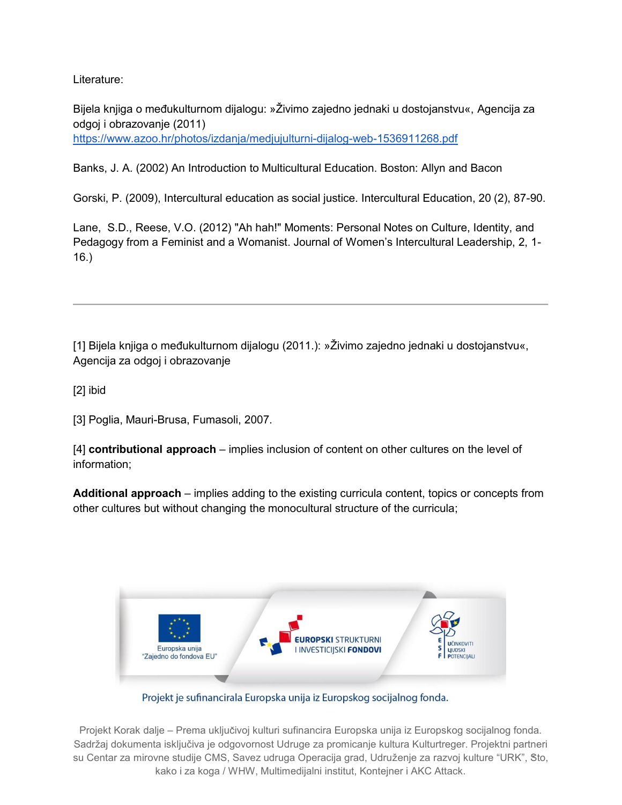Literature:

Bijela knjiga o međukulturnom dijalogu: »Živimo zajedno jednaki u dostojanstvu«, Agencija za odgoj i obrazovanje (2011) https://www.azoo.hr/photos/izdanja/medjujulturni-dijalog-web-1536911268.pdf

Banks, J. A. (2002) An Introduction to Multicultural Education. Boston: Allyn and Bacon

Gorski, P. (2009), Intercultural education as social justice. Intercultural Education, 20 (2), 87-90.

Lane, S.D., Reese, V.O. (2012) "Ah hah!" Moments: Personal Notes on Culture, Identity, and Pedagogy from a Feminist and a Womanist. Journal of Women's Intercultural Leadership, 2, 1- 16.)

[1] Bijela knjiga o međukulturnom dijalogu (2011.): »Živimo zajedno jednaki u dostojanstvu«, Agencija za odgoj i obrazovanje

[2] ibid

[3] Poglia, Mauri-Brusa, Fumasoli, 2007.

[4] **contributional approach** – implies inclusion of content on other cultures on the level of information;

**Additional approach** – implies adding to the existing curricula content, topics or concepts from other cultures but without changing the monocultural structure of the curricula;



Projekt je sufinancirala Europska unija iz Europskog socijalnog fonda.